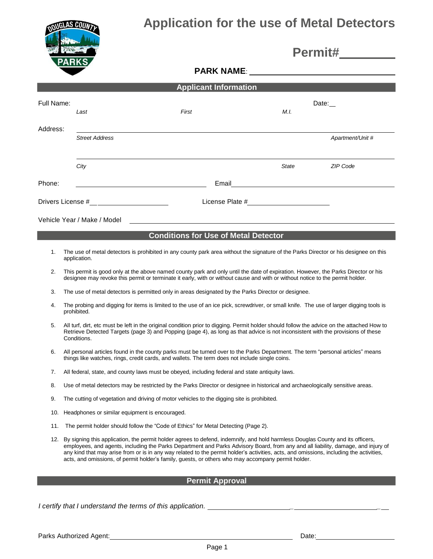

| <b>DOUGLAS COUNTY</b> |
|-----------------------|
|                       |
|                       |
| <b>ARKS</b>           |
|                       |

### **Permit#**

| <b>PARKS</b>          |                                 |                   |                              |  |
|-----------------------|---------------------------------|-------------------|------------------------------|--|
|                       |                                 |                   |                              |  |
|                       |                                 |                   |                              |  |
|                       |                                 |                   | Date:                        |  |
| Last                  | First                           | M.I.              |                              |  |
|                       |                                 |                   |                              |  |
| <b>Street Address</b> |                                 |                   | Apartment/Unit #             |  |
| City                  |                                 | <b>State</b>      | ZIP Code                     |  |
|                       | Email                           |                   |                              |  |
|                       | License Plate #                 |                   |                              |  |
|                       | Full Name:<br>Drivers License # | <b>PARK NAME:</b> | <b>Applicant Information</b> |  |

Vehicle Year / Make / Model

#### **Conditions for Use of Metal Detector**

- 1. The use of metal detectors is prohibited in any county park area without the signature of the Parks Director or his designee on this application.
- 2. This permit is good only at the above named county park and only until the date of expiration. However, the Parks Director or his designee may revoke this permit or terminate it early, with or without cause and with or without notice to the permit holder.
- 3. The use of metal detectors is permitted only in areas designated by the Parks Director or designee.
- 4. The probing and digging for items is limited to the use of an ice pick, screwdriver, or small knife. The use of larger digging tools is prohibited.
- 5. All turf, dirt, etc must be left in the original condition prior to digging. Permit holder should follow the advice on the attached How to Retrieve Detected Targets (page 3) and Popping (page 4), as long as that advice is not inconsistent with the provisions of these Conditions.
- 6. All personal articles found in the county parks must be turned over to the Parks Department. The term "personal articles" means things like watches, rings, credit cards, and wallets. The term does not include single coins.
- 7. All federal, state, and county laws must be obeyed, including federal and state antiquity laws.
- 8. Use of metal detectors may be restricted by the Parks Director or designee in historical and archaeologically sensitive areas.
- 9. The cutting of vegetation and driving of motor vehicles to the digging site is prohibited.
- 10. Headphones or similar equipment is encouraged.
- 11. The permit holder should follow the "Code of Ethics" for Metal Detecting (Page 2).
- 12. By signing this application, the permit holder agrees to defend, indemnify, and hold harmless Douglas County and its officers, employees, and agents, including the Parks Department and Parks Advisory Board, from any and all liability, damage, and injury of any kind that may arise from or is in any way related to the permit holder's activities, acts, and omissions, including the activities, acts, and omissions, of permit holder's family, guests, or others who may accompany permit holder.

#### **Permit Approval**

*I certify that I understand the terms of this application. \_ \_*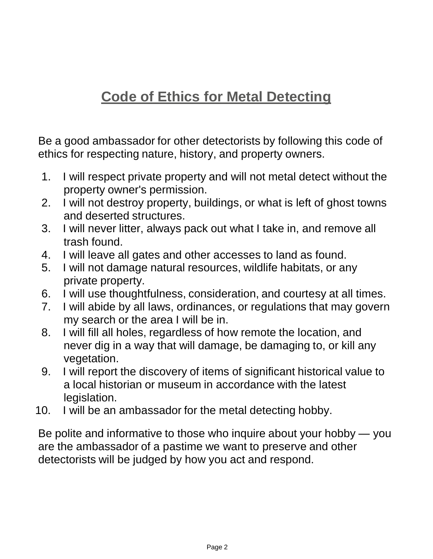# **Code of Ethics for Metal Detecting**

Be a good ambassador for other detectorists by following this code of ethics for respecting nature, history, and property owners.

- 1. I will respect private property and will not metal detect without the property owner's permission.
- 2. I will not destroy property, buildings, or what is left of ghost towns and deserted structures.
- 3. I will never litter, always pack out what I take in, and remove all trash found.
- 4. I will leave all gates and other accesses to land as found.
- 5. I will not damage natural resources, wildlife habitats, or any private property.
- 6. I will use thoughtfulness, consideration, and courtesy at all times.
- 7. I will abide by all laws, ordinances, or regulations that may govern my search or the area I will be in.
- 8. I will fill all holes, regardless of how remote the location, and never dig in a way that will damage, be damaging to, or kill any vegetation.
- 9. I will report the discovery of items of significant historical value to a local historian or museum in accordance with the latest legislation.
- 10. I will be an ambassador for the metal detecting hobby.

Be polite and informative to those who inquire about your hobby — you are the ambassador of a pastime we want to preserve and other detectorists will be judged by how you act and respond.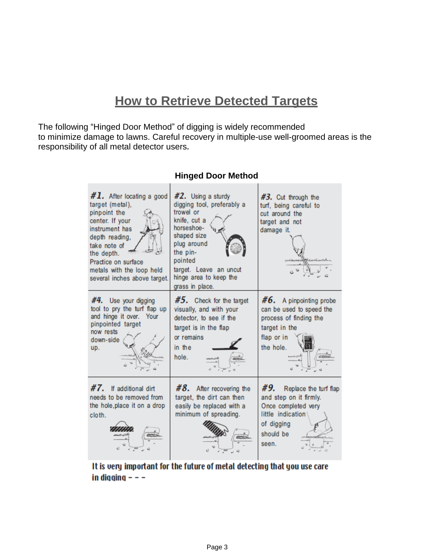## **How to Retrieve Detected Targets**

The following "Hinged Door Method" of digging is widely recommended to minimize damage to lawns. Careful recovery in multiple-use well-groomed areas is the responsibility of all metal detector users**.**



### **Hinged Door Method**

It is very important for the future of metal detecting that you use care in diaging  $- - -$